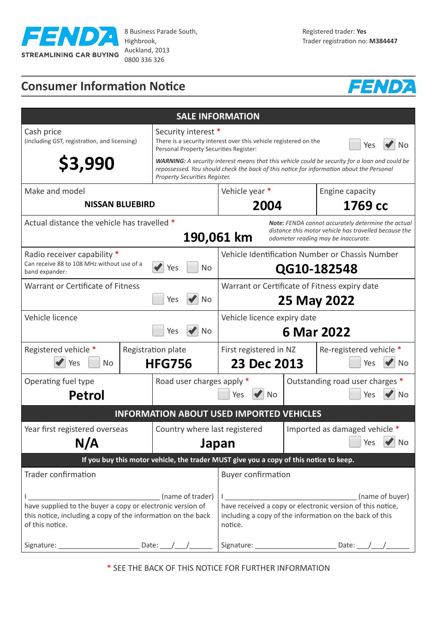

8 Business Parade South, Highbrook, Auckland, 2013 0800 336 326

# **Consumer Information Notice**



| <b>SALE INFORMATION</b>                                                                                                                                                                                         |                                                                                                                                                                                                                                                                                                                                                     |                                                                                                                                                                                       |  |                                                   |  |
|-----------------------------------------------------------------------------------------------------------------------------------------------------------------------------------------------------------------|-----------------------------------------------------------------------------------------------------------------------------------------------------------------------------------------------------------------------------------------------------------------------------------------------------------------------------------------------------|---------------------------------------------------------------------------------------------------------------------------------------------------------------------------------------|--|---------------------------------------------------|--|
| Cash price<br>(including GST, registration, and licensing)<br>\$3,990                                                                                                                                           | Security interest *<br>There is a security interest over this vehicle registered on the<br>Yes<br>No<br>Personal Property Securities Register:<br><b>WARNING:</b> A security interest means that this vehicle could be security for a loan and could be<br>repossessed. You should check the back of this notice for information about the Personal |                                                                                                                                                                                       |  |                                                   |  |
| Property Securities Register.<br>Vehicle year *<br>Make and model<br>Engine capacity                                                                                                                            |                                                                                                                                                                                                                                                                                                                                                     |                                                                                                                                                                                       |  |                                                   |  |
| <b>NISSAN BLUEBIRD</b>                                                                                                                                                                                          |                                                                                                                                                                                                                                                                                                                                                     | 2004                                                                                                                                                                                  |  | 1769 сс                                           |  |
| Actual distance the vehicle has travelled *<br>Note: FENDA cannot accurately determine the actual<br>distance this motor vehicle has travelled because the<br>190,061 km<br>odometer reading may be inaccurate. |                                                                                                                                                                                                                                                                                                                                                     |                                                                                                                                                                                       |  |                                                   |  |
| Radio receiver capability *<br>Can receive 88 to 108 MHz without use of a<br><b>No</b><br>Yes<br>band expander:                                                                                                 |                                                                                                                                                                                                                                                                                                                                                     | Vehicle Identification Number or Chassis Number<br>QG10-182548                                                                                                                        |  |                                                   |  |
| Warrant or Certificate of Fitness<br>Yes<br>No                                                                                                                                                                  |                                                                                                                                                                                                                                                                                                                                                     | Warrant or Certificate of Fitness expiry date<br>25 May 2022                                                                                                                          |  |                                                   |  |
| Vehicle licence<br><b>No</b><br>Yes                                                                                                                                                                             |                                                                                                                                                                                                                                                                                                                                                     | Vehicle licence expiry date<br>6 Mar 2022                                                                                                                                             |  |                                                   |  |
| Registered vehicle *<br><b>No</b><br>Yes                                                                                                                                                                        | Registration plate<br><b>HFG756</b>                                                                                                                                                                                                                                                                                                                 | First registered in NZ<br>Re-registered vehicle *<br>23 Dec 2013<br>Yes<br>No                                                                                                         |  |                                                   |  |
| Operating fuel type                                                                                                                                                                                             | Road user charges apply *                                                                                                                                                                                                                                                                                                                           | Outstanding road user charges *                                                                                                                                                       |  |                                                   |  |
| <b>Petrol</b><br>Yes<br><b>No</b><br>Yes                                                                                                                                                                        |                                                                                                                                                                                                                                                                                                                                                     |                                                                                                                                                                                       |  | No                                                |  |
| <b>INFORMATION ABOUT USED IMPORTED VEHICLES</b>                                                                                                                                                                 |                                                                                                                                                                                                                                                                                                                                                     |                                                                                                                                                                                       |  |                                                   |  |
| Year first registered overseas<br>N/A                                                                                                                                                                           | Country where last registered                                                                                                                                                                                                                                                                                                                       | Japan                                                                                                                                                                                 |  | Imported as damaged vehicle *<br><b>No</b><br>Yes |  |
| If you buy this motor vehicle, the trader MUST give you a copy of this notice to keep.                                                                                                                          |                                                                                                                                                                                                                                                                                                                                                     |                                                                                                                                                                                       |  |                                                   |  |
| <b>Trader confirmation</b>                                                                                                                                                                                      |                                                                                                                                                                                                                                                                                                                                                     | <b>Buyer confirmation</b>                                                                                                                                                             |  |                                                   |  |
| (name of trader)<br>have supplied to the buyer a copy or electronic version of<br>this notice, including a copy of the information on the back<br>of this notice.<br>Date: $\_\_\_\_\_\_\_\$<br>Signature:      |                                                                                                                                                                                                                                                                                                                                                     | (name of buyer)<br>have received a copy or electronic version of this notice,<br>including a copy of the information on the back of this<br>notice.<br>Signature: _<br>Date: $\angle$ |  |                                                   |  |

\* SEE THE BACK OF THIS NOTICE FOR FURTHER INFORMATION